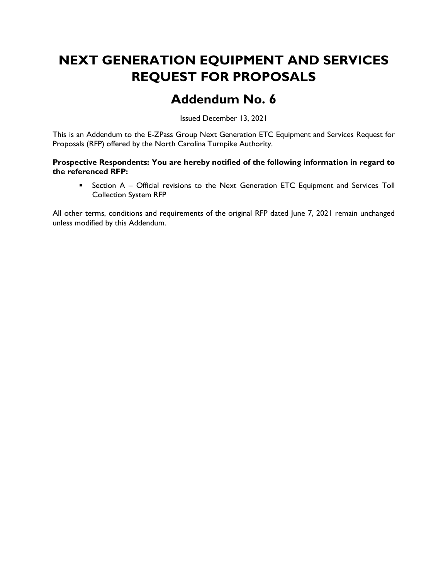# NEXT GENERATION EQUIPMENT AND SERVICES REQUEST FOR PROPOSALS

## Addendum No. 6

Issued December 13, 2021

This is an Addendum to the E-ZPass Group Next Generation ETC Equipment and Services Request for Proposals (RFP) offered by the North Carolina Turnpike Authority.

#### Prospective Respondents: You are hereby notified of the following information in regard to the referenced RFP:

**EXECT** Section A – Official revisions to the Next Generation ETC Equipment and Services Toll Collection System RFP

All other terms, conditions and requirements of the original RFP dated June 7, 2021 remain unchanged unless modified by this Addendum.